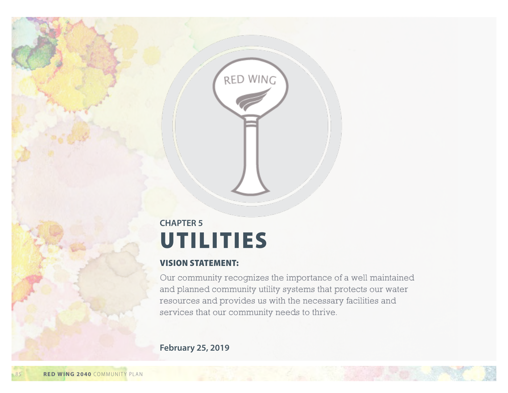# **UTILITIES CHAPTER 5**

RED WING

### VISION STATEMENT:

Our community recognizes the importance of a well maintained and planned community utility systems that protects our water resources and provides us with the necessary facilities and services that our community needs to thrive.

**February 25, 2019**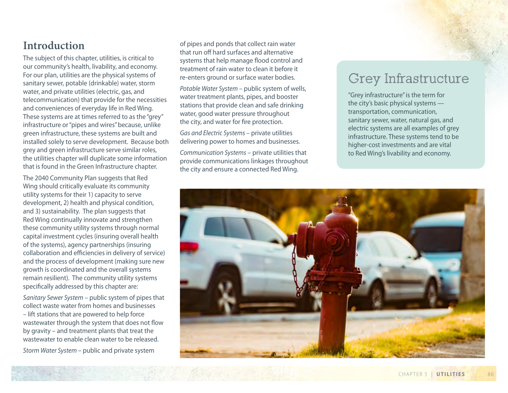# **Introduction**

The subject of this chapter, utilities, is critical to our community's health, livability, and economy. For our plan, utilities are the physical systems of sanitary sewer, potable (drinkable) water, storm water, and private utilities (electric, gas, and telecommunication) that provide for the necessities and conveniences of everyday life in Red Wing. These systems are at times referred to as the "grey" infrastructure or "pipes and wires" because, unlike green infrastructure, these systems are built and installed solely to serve development. Because both grey and green infrastructure serve similar roles, the utilities chapter will duplicate some information that is found in the Green Infrastructure chapter.

The 2040 Community Plan suggests that Red Wing should critically evaluate its community utility systems for their 1) capacity to serve development, 2) health and physical condition, and 3) sustainability. The plan suggests that Red Wing continually innovate and strengthen these community utility systems through normal capital investment cycles (insuring overall health of the systems), agency partnerships (insuring collaboration and efficiencies in delivery of service) and the process of development (making sure new growth is coordinated and the overall systems remain resilient). The community utility systems specifically addressed by this chapter are:

*Sanitary Sewer System* – public system of pipes that collect waste water from homes and businesses – lift stations that are powered to help force wastewater through the system that does not flow by gravity – and treatment plants that treat the wastewater to enable clean water to be released.

*Storm Water System* – public and private system

of pipes and ponds that collect rain water that run off hard surfaces and alternative systems that help manage flood control and treatment of rain water to clean it before it re-enters ground or surface water bodies.

*Potable Water System* – public system of wells, water treatment plants, pipes, and booster stations that provide clean and safe drinking water, good water pressure throughout the city, and water for fire protection.

*Gas and Electric Systems* – private utilities delivering power to homes and businesses.

*Communication Systems* – private utilities that provide communications linkages throughout the city and ensure a connected Red Wing.

# Grey Infrastructure

"Grey infrastructure" is the term for the city's basic physical systems transportation, communication, sanitary sewer, water, natural gas, and electric systems are all examples of grey infrastructure. These systems tend to be higher-cost investments and are vital to Red Wing's livability and economy.

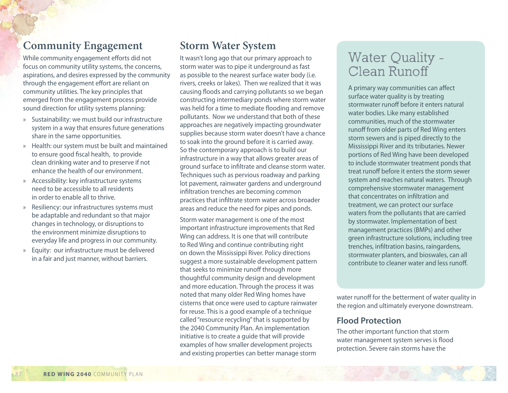# **Community Engagement**

While community engagement efforts did not focus on community utility systems, the concerns, aspirations, and desires expressed by the community through the engagement effort are reliant on community utilities. The key principles that emerged from the engagement process provide sound direction for utility systems planning:

- » Sustainability: we must build our infrastructure system in a way that ensures future generations share in the same opportunities.
- » Health: our system must be built and maintained to ensure good fiscal health, to provide clean drinking water and to preserve if not enhance the health of our environment.
- » Accessibility: key infrastructure systems need to be accessible to all residents in order to enable all to thrive.
- » Resiliency: our infrastructures systems must be adaptable and redundant so that major changes in technology, or disruptions to the environment minimize disruptions to everyday life and progress in our community.
- » Equity: our infrastructure must be delivered in a fair and just manner, without barriers.

# **Storm Water System**

It wasn't long ago that our primary approach to storm water was to pipe it underground as fast as possible to the nearest surface water body (i.e. rivers, creeks or lakes). Then we realized that it was causing floods and carrying pollutants so we began constructing intermediary ponds where storm water was held for a time to mediate flooding and remove pollutants. Now we understand that both of these approaches are negatively impacting groundwater supplies because storm water doesn't have a chance to soak into the ground before it is carried away. So the contemporary approach is to build our infrastructure in a way that allows greater areas of ground surface to infiltrate and cleanse storm water. Techniques such as pervious roadway and parking lot pavement, rainwater gardens and underground infiltration trenches are becoming common practices that infiltrate storm water across broader areas and reduce the need for pipes and ponds.

Storm water management is one of the most important infrastructure improvements that Red Wing can address. It is one that will contribute to Red Wing and continue contributing right on down the Mississippi River. Policy directions suggest a more sustainable development pattern that seeks to minimize runoff through more thoughtful community design and development and more education. Through the process it was noted that many older Red Wing homes have cisterns that once were used to capture rainwater for reuse. This is a good example of a technique called "resource recycling" that is supported by the 2040 Community Plan. An implementation initiative is to create a guide that will provide examples of how smaller development projects and existing properties can better manage storm

# Water Quality - Clean Runoff

A primary way communities can affect surface water quality is by treating stormwater runoff before it enters natural water bodies. Like many established communities, much of the stormwater runoff from older parts of Red Wing enters storm sewers and is piped directly to the Mississippi River and its tributaries. Newer portions of Red Wing have been developed to include stormwater treatment ponds that treat runoff before it enters the storm sewer system and reaches natural waters. Through comprehensive stormwater management that concentrates on infiltration and treatment, we can protect our surface waters from the pollutants that are carried by stormwater. Implementation of best management practices (BMPs) and other green infrastructure solutions, including tree trenches, infiltration basins, raingardens, stormwater planters, and bioswales, can all contribute to cleaner water and less runoff.

water runoff for the betterment of water quality in the region and ultimately everyone downstream.

### **Flood Protection**

The other important function that storm water management system serves is flood protection. Severe rain storms have the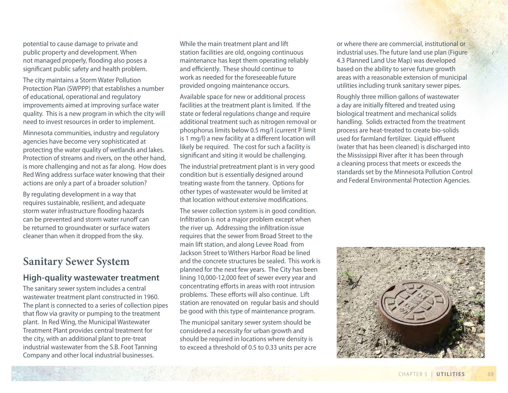potential to cause damage to private and public property and development. When not managed properly, flooding also poses a significant public safety and health problem.

The city maintains a Storm Water Pollution Protection Plan (SWPPP) that establishes a number of educational, operational and regulatory improvements aimed at improving surface water quality. This is a new program in which the city will need to invest resources in order to implement.

Minnesota communities, industry and regulatory agencies have become very sophisticated at protecting the water quality of wetlands and lakes. Protection of streams and rivers, on the other hand, is more challenging and not as far along. How does Red Wing address surface water knowing that their actions are only a part of a broader solution?

By regulating development in a way that requires sustainable, resilient, and adequate storm water infrastructure flooding hazards can be prevented and storm water runoff can be returned to groundwater or surface waters cleaner than when it dropped from the sky.

# **Sanitary Sewer System**

### **High-quality wastewater treatment**

The sanitary sewer system includes a central wastewater treatment plant constructed in 1960. The plant is connected to a series of collection pipes that flow via gravity or pumping to the treatment plant. In Red Wing, the Municipal Wastewater Treatment Plant provides central treatment for the city, with an additional plant to pre-treat industrial wastewater from the S.B. Foot Tanning Company and other local industrial businesses.

While the main treatment plant and lift station facilities are old, ongoing continuous maintenance has kept them operating reliably and efficiently. These should continue to work as needed for the foreseeable future provided ongoing maintenance occurs.

Available space for new or additional process facilities at the treatment plant is limited. If the state or federal regulations change and require additional treatment such as nitrogen removal or phosphorus limits below 0.5 mg/l (current P limit is 1 mg/l) a new facility at a different location will likely be required. The cost for such a facility is significant and siting it would be challenging.

The industrial pretreatment plant is in very good condition but is essentially designed around treating waste from the tannery. Options for other types of wastewater would be limited at that location without extensive modifications.

The sewer collection system is in good condition. Infiltration is not a major problem except when the river up. Addressing the infiltration issue requires that the sewer from Broad Street to the main lift station, and along Levee Road from Jackson Street to Withers Harbor Road be lined and the concrete structures be sealed. This work is planned for the next few years. The City has been lining 10,000-12,000 feet of sewer every year and concentrating efforts in areas with root intrusion problems. These efforts will also continue. Lift station are renovated on regular basis and should be good with this type of maintenance program.

The municipal sanitary sewer system should be considered a necessity for urban growth and should be required in locations where density is to exceed a threshold of 0.5 to 0.33 units per acre

or where there are commercial, institutional or industrial uses. The future land use plan (Figure 4.3 Planned Land Use Map) was developed based on the ability to serve future growth areas with a reasonable extension of municipal utilities including trunk sanitary sewer pipes.

Roughly three million gallons of wastewater a day are initially filtered and treated using biological treatment and mechanical solids handling. Solids extracted from the treatment process are heat-treated to create bio-solids used for farmland fertilizer. Liquid effluent (water that has been cleaned) is discharged into the Mississippi River after it has been through a cleaning process that meets or exceeds the standards set by the Minnesota Pollution Control and Federal Environmental Protection Agencies.

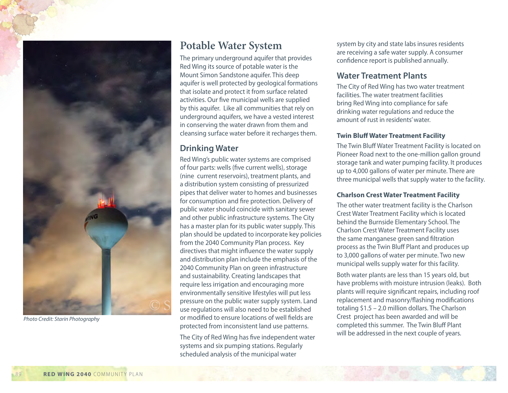

*Photo Credit: Starin Photography*

## **Potable Water System**

The primary underground aquifer that provides Red Wing its source of potable water is the Mount Simon Sandstone aquifer. This deep aquifer is well protected by geological formations that isolate and protect it from surface related activities. Our five municipal wells are supplied by this aquifer. Like all communities that rely on underground aquifers, we have a vested interest in conserving the water drawn from them and cleansing surface water before it recharges them.

### **Drinking Water**

Red Wing's public water systems are comprised of four parts: wells (five current wells), storage (nine current reservoirs), treatment plants, and a distribution system consisting of pressurized pipes that deliver water to homes and businesses for consumption and fire protection. Delivery of public water should coincide with sanitary sewer and other public infrastructure systems. The City has a master plan for its public water supply. This plan should be updated to incorporate key policies from the 2040 Community Plan process. Key directives that might influence the water supply and distribution plan include the emphasis of the 2040 Community Plan on green infrastructure and sustainability. Creating landscapes that require less irrigation and encouraging more environmentally sensitive lifestyles will put less pressure on the public water supply system. Land use regulations will also need to be established or modified to ensure locations of well fields are protected from inconsistent land use patterns.

The City of Red Wing has five independent water systems and six pumping stations. Regularly scheduled analysis of the municipal water

system by city and state labs insures residents are receiving a safe water supply. A consumer confidence report is published annually.

### **Water Treatment Plants**

The City of Red Wing has two water treatment facilities. The water treatment facilities bring Red Wing into compliance for safe drinking water regulations and reduce the amount of rust in residents' water.

#### **Twin Bluff Water Treatment Facility**

The Twin Bluff Water Treatment Facility is located on Pioneer Road next to the one-million gallon ground storage tank and water pumping facility. It produces up to 4,000 gallons of water per minute. There are three municipal wells that supply water to the facility.

#### **Charlson Crest Water Treatment Facility**

The other water treatment facility is the Charlson Crest Water Treatment Facility which is located behind the Burnside Elementary School. The Charlson Crest Water Treatment Facility uses the same manganese green sand filtration process as the Twin Bluff Plant and produces up to 3,000 gallons of water per minute. Two new municipal wells supply water for this facility.

Both water plants are less than 15 years old, but have problems with moisture intrusion (leaks). Both plants will require significant repairs, including roof replacement and masonry/flashing modifications totaling \$1.5 – 2.0 million dollars. The Charlson Crest project has been awarded and will be completed this summer. The Twin Bluff Plant will be addressed in the next couple of years.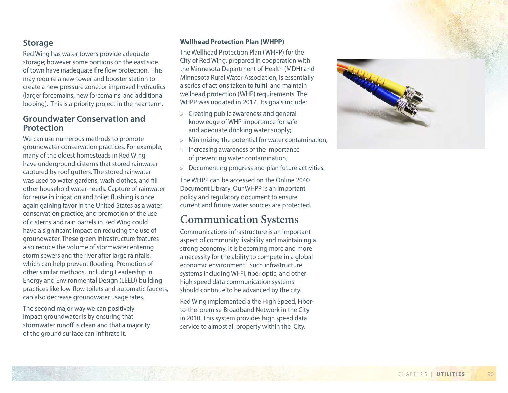### **Storage**

Red Wing has water towers provide adequate storage; however some portions on the east side of town have inadequate fire flow protection. This may require a new tower and booster station to create a new pressure zone, or improved hydraulics (larger forcemains, new forcemains and additional looping). This is a priority project in the near term.

### **Groundwater Conservation and Protection**

We can use numerous methods to promote groundwater conservation practices. For example, many of the oldest homesteads in Red Wing have underground cisterns that stored rainwater captured by roof gutters. The stored rainwater was used to water gardens, wash clothes, and fill other household water needs. Capture of rainwater for reuse in irrigation and toilet flushing is once again gaining favor in the United States as a water conservation practice, and promotion of the use of cisterns and rain barrels in Red Wing could have a significant impact on reducing the use of groundwater. These green infrastructure features also reduce the volume of stormwater entering storm sewers and the river after large rainfalls, which can help prevent flooding. Promotion of other similar methods, including Leadership in Energy and Environmental Design (LEED) building practices like low-flow toilets and automatic faucets, can also decrease groundwater usage rates.

The second major way we can positively impact groundwater is by ensuring that stormwater runo ff is clean and that a majority of the ground surface can infiltrate it.

#### **Wellhead Protection Plan (WHPP)**

The Wellhead Protection Plan (WHPP) for the City of Red Wing, prepared in cooperation with the Minnesota Department of Health (MDH) and Minnesota Rural Water Association, is essentially a series of actions taken to fulfill and maintain wellhead protection (WHP) requirements. The WHPP was updated in 2017. Its goals include:

- » Creating public awareness and general knowledge of WHP importance for safe and adequate drinking water supply;
- » Minimizing the potential for water contamination;
- » Increasing awareness of the importance of preventing water contamination;
- » Documenting progress and plan future activities.

The WHPP can be accessed on the Online 2040 Document Library. Our WHPP is an important policy and regulatory document to ensure current and future water sources are protected.

## **Communication Systems**

Communications infrastructure is an important aspect of community livability and maintaining a strong economy. It is becoming more and more a necessity for the ability to compete in a global economic environment. Such infrastructure systems including Wi-Fi, fiber optic, and other high speed data communication systems should continue to be advanced by the city.

Red Wing implemented a the High Speed, Fiberto-the-premise Broadband Network in the City in 2010. This system provides high speed data service to almost all property within the City.

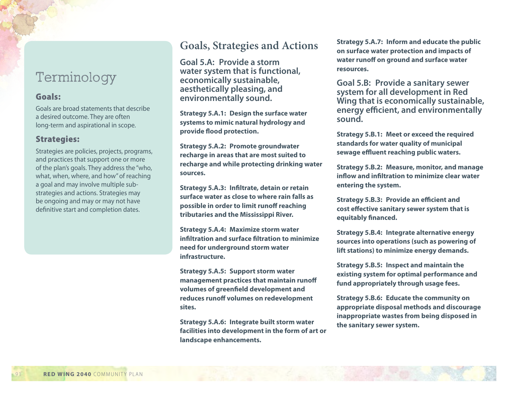# Terminology

#### Goals:

Goals are broad statements that describe a desired outcome. They are often long-term and aspirational in scope.

### Strategies:

Strategies are policies, projects, programs, and practices that support one or more of the plan's goals. They address the "who, what, when, where, and how" of reaching a goal and may involve multiple substrategies and actions. Strategies may be ongoing and may or may not have definitive start and completion dates.

## **Goals, Strategies and Actions**

**Goal 5.A: Provide a storm water system that is functional, economically sustainable, aesthetically pleasing, and environmentally sound.**

**Strategy 5.A.1: Design the surface water systems to mimic natural hydrology and provide flood protection.** 

**Strategy 5.A.2: Promote groundwater recharge in areas that are most suited to recharge and while protecting drinking water sources.**

**Strategy 5.A.3: Infiltrate, detain or retain surface water as close to where rain falls as possible in order to limit runoff reaching tributaries and the Mississippi River.**

**Strategy 5.A.4: Maximize storm water infiltration and surface filtration to minimize need for underground storm water infrastructure.**

**Strategy 5.A.5: Support storm water management practices that maintain runoff volumes of greenfield development and reduces runoff volumes on redevelopment sites.** 

**Strategy 5.A.6: Integrate built storm water facilities into development in the form of art or landscape enhancements.** 

**Strategy 5.A.7: Inform and educate the public on surface water protection and impacts of water runoff on ground and surface water resources.** 

**Goal 5.B: Provide a sanitary sewer system for all development in Red Wing that is economically sustainable, energy efficient, and environmentally sound.** 

**Strategy 5.B.1: Meet or exceed the required standards for water quality of municipal sewage effluent reaching public waters.**

**Strategy 5.B.2: Measure, monitor, and manage inflow and infiltration to minimize clear water entering the system.**

**Strategy 5.B.3: Provide an efficient and cost effective sanitary sewer system that is equitably financed.**

**Strategy 5.B.4: Integrate alternative energy sources into operations (such as powering of lift stations) to minimize energy demands.**

**Strategy 5.B.5: Inspect and maintain the existing system for optimal performance and fund appropriately through usage fees.** 

**Strategy 5.B.6: Educate the community on appropriate disposal methods and discourage inappropriate wastes from being disposed in the sanitary sewer system.**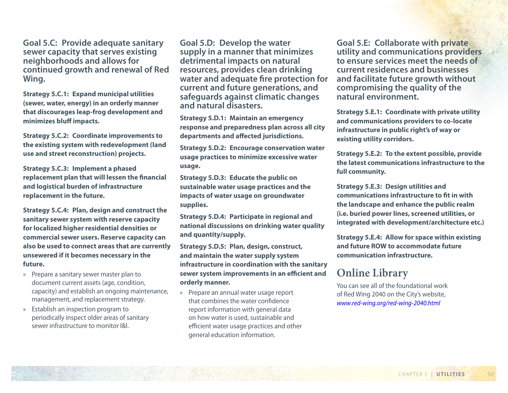**Goal 5.C: Provide adequate sanitary sewer capacity that serves existing neighborhoods and allows for continued growth and renewal of Red Wing.** 

**Strategy 5.C.1: Expand municipal utilities (sewer, water, energy) in an orderly manner that discourages leap-frog development and minimizes bluff impacts.**

**Strategy 5.C.2: Coordinate improvements to the existing system with redevelopment (land use and street reconstruction) projects.** 

**Strategy 5.C.3: Implement a phased replacement plan that will lessen the financial and logistical burden of infrastructure replacement in the future.** 

**Strategy 5.C.4: Plan, design and construct the sanitary sewer system with reserve capacity for localized higher residential densities or commercial sewer users. Reserve capacity can also be used to connect areas that are currently unsewered if it becomes necessary in the future.** 

- » Prepare a sanitary sewer master plan to document current assets (age, condition, capacity) and establish an ongoing maintenance, management, and replacement strategy.
- » Establish an inspection program to periodically inspect older areas of sanitary sewer infrastructure to monitor I&I.

**Goal 5.D: Develop the water supply in a manner that minimizes detrimental impacts on natural resources, provides clean drinking water and adequate fire protection for current and future generations, and safeguards against climatic changes and natural disasters.** 

**Strategy 5.D.1: Maintain an emergency response and preparedness plan across all city departments and affected jurisdictions.**

**Strategy 5.D.2: Encourage conservation water usage practices to minimize excessive water usage.**

**Strategy 5.D.3: Educate the public on sustainable water usage practices and the impacts of water usage on groundwater supplies.** 

**Strategy 5.D.4: Participate in regional and national discussions on drinking water quality and quantity/supply.**

**Strategy 5.D.5: Plan, design, construct, and maintain the water supply system infrastructure in coordination with the sanitary sewer system improvements in an efficient and orderly manner.** 

» Prepare an annual water usage report that combines the water confidence report information with general data on how water is used, sustainable and efficient water usage practices and other general education information.

**Goal 5.E: Collaborate with private utility and communications providers to ensure services meet the needs of current residences and businesses and facilitate future growth without compromising the quality of the natural environment.** 

**Strategy 5.E.1: Coordinate with private utility and communications providers to co-locate infrastructure in public right's of way or existing utility corridors.** 

**Strategy 5.E.2: To the extent possible, provide the latest communications infrastructure to the full community.**

**Strategy 5.E.3: Design utilities and communications infrastructure to fit in with the landscape and enhance the public realm (i.e. buried power lines, screened utilities, or integrated with development/architecture etc.)**

**Strategy 5.E.4: Allow for space within existing and future ROW to accommodate future communication infrastructure.**

# **Online Library**

You can see all of the foundational work of Red Wing 2040 on the City's website, *[www.red-wing.org/red-wing-2040.html](https://www.red-wing.org/red-wing-2040.html)*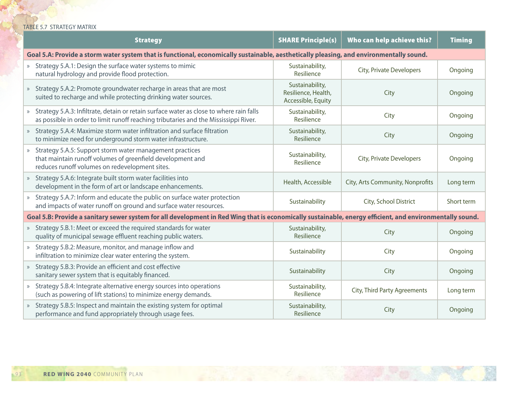#### TABLE 5.7 STRATEGY MATRIX

|                                                                                                                                                          | <b>Strategy</b>                                                                                                                                                                 | <b>SHARE Principle(s)</b>                                    | Who can help achieve this?       | <b>Timing</b> |  |  |  |
|----------------------------------------------------------------------------------------------------------------------------------------------------------|---------------------------------------------------------------------------------------------------------------------------------------------------------------------------------|--------------------------------------------------------------|----------------------------------|---------------|--|--|--|
| Goal 5.A: Provide a storm water system that is functional, economically sustainable, aesthetically pleasing, and environmentally sound.                  |                                                                                                                                                                                 |                                                              |                                  |               |  |  |  |
|                                                                                                                                                          | » Strategy 5.A.1: Design the surface water systems to mimic<br>natural hydrology and provide flood protection.                                                                  | Sustainability,<br>Resilience                                | City, Private Developers         | Ongoing       |  |  |  |
|                                                                                                                                                          | Strategy 5.A.2: Promote groundwater recharge in areas that are most<br>suited to recharge and while protecting drinking water sources.                                          | Sustainability,<br>Resilience, Health,<br>Accessible, Equity | City                             | Ongoing       |  |  |  |
|                                                                                                                                                          | Strategy 5.A.3: Infiltrate, detain or retain surface water as close to where rain falls<br>as possible in order to limit runoff reaching tributaries and the Mississippi River. | Sustainability,<br>Resilience                                | City                             | Ongoing       |  |  |  |
|                                                                                                                                                          | » Strategy 5.A.4: Maximize storm water infiltration and surface filtration<br>to minimize need for underground storm water infrastructure.                                      | Sustainability,<br>Resilience                                | City                             | Ongoing       |  |  |  |
| $\rangle\!\rangle$                                                                                                                                       | Strategy 5.A.5: Support storm water management practices<br>that maintain runoff volumes of greenfield development and<br>reduces runoff volumes on redevelopment sites.        | Sustainability,<br>Resilience                                | City, Private Developers         | Ongoing       |  |  |  |
|                                                                                                                                                          | » Strategy 5.A.6: Integrate built storm water facilities into<br>development in the form of art or landscape enhancements.                                                      | Health, Accessible                                           | City, Arts Community, Nonprofits | Long term     |  |  |  |
|                                                                                                                                                          | » Strategy 5.A.7: Inform and educate the public on surface water protection<br>and impacts of water runoff on ground and surface water resources.                               | Sustainability                                               | City, School District            | Short term    |  |  |  |
| Goal 5.B: Provide a sanitary sewer system for all development in Red Wing that is economically sustainable, energy efficient, and environmentally sound. |                                                                                                                                                                                 |                                                              |                                  |               |  |  |  |
|                                                                                                                                                          | » Strategy 5.B.1: Meet or exceed the required standards for water<br>quality of municipal sewage effluent reaching public waters.                                               | Sustainability,<br>Resilience                                | City                             | Ongoing       |  |  |  |
|                                                                                                                                                          | » Strategy 5.B.2: Measure, monitor, and manage inflow and<br>infiltration to minimize clear water entering the system.                                                          | Sustainability                                               | City                             | Ongoing       |  |  |  |
|                                                                                                                                                          | Strategy 5.B.3: Provide an efficient and cost effective<br>sanitary sewer system that is equitably financed.                                                                    | Sustainability                                               | City                             | Ongoing       |  |  |  |
|                                                                                                                                                          | Strategy 5.B.4: Integrate alternative energy sources into operations<br>(such as powering of lift stations) to minimize energy demands.                                         | Sustainability,<br>Resilience                                | City, Third Party Agreements     | Long term     |  |  |  |
|                                                                                                                                                          | Strategy 5.B.5: Inspect and maintain the existing system for optimal<br>performance and fund appropriately through usage fees.                                                  | Sustainability,<br>Resilience                                | City                             | Ongoing       |  |  |  |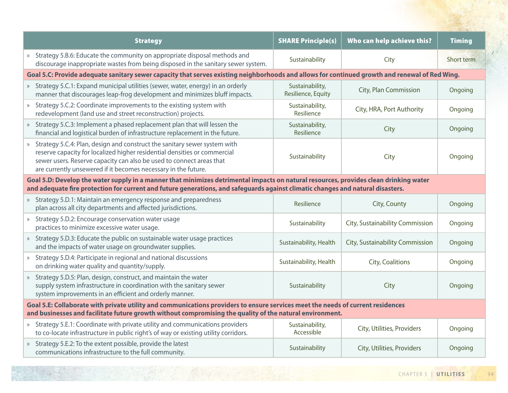| <b>Strategy</b>                                                                                                                                                                                                                                                                                    | <b>SHARE Principle(s)</b>             | Who can help achieve this?      | <b>Timing</b> |  |  |  |  |
|----------------------------------------------------------------------------------------------------------------------------------------------------------------------------------------------------------------------------------------------------------------------------------------------------|---------------------------------------|---------------------------------|---------------|--|--|--|--|
| » Strategy 5.B.6: Educate the community on appropriate disposal methods and<br>discourage inappropriate wastes from being disposed in the sanitary sewer system.                                                                                                                                   | Sustainability                        | City                            | Short term    |  |  |  |  |
| Goal 5.C: Provide adequate sanitary sewer capacity that serves existing neighborhoods and allows for continued growth and renewal of Red Wing.                                                                                                                                                     |                                       |                                 |               |  |  |  |  |
| » Strategy 5.C.1: Expand municipal utilities (sewer, water, energy) in an orderly<br>manner that discourages leap-frog development and minimizes bluff impacts.                                                                                                                                    | Sustainability,<br>Resilience, Equity | City, Plan Commission           | Ongoing       |  |  |  |  |
| » Strategy 5.C.2: Coordinate improvements to the existing system with<br>redevelopment (land use and street reconstruction) projects.                                                                                                                                                              | Sustainability,<br>Resilience         | City, HRA, Port Authority       | Ongoing       |  |  |  |  |
| » Strategy 5.C.3: Implement a phased replacement plan that will lessen the<br>financial and logistical burden of infrastructure replacement in the future.                                                                                                                                         | Sustainability,<br>Resilience         | City                            | Ongoing       |  |  |  |  |
| » Strategy 5.C.4: Plan, design and construct the sanitary sewer system with<br>reserve capacity for localized higher residential densities or commercial<br>sewer users. Reserve capacity can also be used to connect areas that<br>are currently unsewered if it becomes necessary in the future. | Sustainability                        | City                            | Ongoing       |  |  |  |  |
| Goal 5.D: Develop the water supply in a manner that minimizes detrimental impacts on natural resources, provides clean drinking water<br>and adequate fire protection for current and future generations, and safeguards against climatic changes and natural disasters.                           |                                       |                                 |               |  |  |  |  |
| » Strategy 5.D.1: Maintain an emergency response and preparedness<br>plan across all city departments and affected jurisdictions.                                                                                                                                                                  | Resilience                            | City, County                    | Ongoing       |  |  |  |  |
| » Strategy 5.D.2: Encourage conservation water usage<br>practices to minimize excessive water usage.                                                                                                                                                                                               | Sustainability                        | City, Sustainability Commission | Ongoing       |  |  |  |  |
| » Strategy 5.D.3: Educate the public on sustainable water usage practices<br>and the impacts of water usage on groundwater supplies.                                                                                                                                                               | Sustainability, Health                | City, Sustainability Commission | Ongoing       |  |  |  |  |
| » Strategy 5.D.4: Participate in regional and national discussions<br>on drinking water quality and quantity/supply.                                                                                                                                                                               | Sustainability, Health                | City, Coalitions                | Ongoing       |  |  |  |  |
| Strategy 5.D.5: Plan, design, construct, and maintain the water<br>supply system infrastructure in coordination with the sanitary sewer<br>system improvements in an efficient and orderly manner.                                                                                                 | Sustainability                        | City                            | Ongoing       |  |  |  |  |
| Goal 5.E: Collaborate with private utility and communications providers to ensure services meet the needs of current residences<br>and businesses and facilitate future growth without compromising the quality of the natural environment.                                                        |                                       |                                 |               |  |  |  |  |
| » Strategy 5.E.1: Coordinate with private utility and communications providers<br>to co-locate infrastructure in public right's of way or existing utility corridors.                                                                                                                              | Sustainability,<br>Accessible         | City, Utilities, Providers      | Ongoing       |  |  |  |  |
| » Strategy 5.E.2: To the extent possible, provide the latest<br>communications infrastructure to the full community.                                                                                                                                                                               | Sustainability                        | City, Utilities, Providers      | Ongoing       |  |  |  |  |